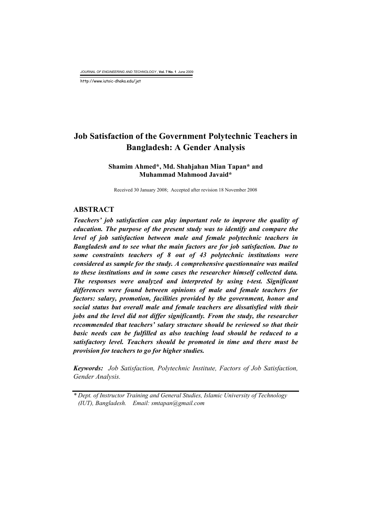*JOURNAL OF ENGINEERING AND TECHNOLOGY* , **Vol. 7 No. 1** June 2009

http://www.iutoic-dhaka.edu/jet

# **Job Satisfaction of the Government Polytechnic Teachers in Bangladesh: A Gender Analysis**

# **Shamim Ahmed\*, Md. Shahjahan Mian Tapan\* and Muhammad Mahmood Javaid\***

Received 30 January 2008; Accepted after revision 18 November 2008

## **ABSTRACT**

*Teachers' job satisfaction can play important role to improve the quality of education. The purpose of the present study was to identify and compare the level of job satisfaction between male and female polytechnic teachers in Bangladesh and to see what the main factors are for job satisfaction. Due to some constraints teachers of 8 out of 43 polytechnic institutions were considered as sample for the study. A comprehensive questionnaire was mailed to these institutions and in some cases the researcher himself collected data. The responses were analyzed and interpreted by using t-test. Significant differences were found between opinions of male and female teachers for factors: salary, promotion, facilities provided by the government, honor and social status but overall male and female teachers are dissatisfied with their jobs and the level did not differ significantly. From the study, the researcher recommended that teachers' salary structure should be reviewed so that their basic needs can be fulfilled as also teaching load should be reduced to a satisfactory level. Teachers should be promoted in time and there must be provision for teachers to go for higher studies.* 

*Keywords: Job Satisfaction, Polytechnic Institute, Factors of Job Satisfaction, Gender Analysis.* 

*<sup>\*</sup> Dept. of Instructor Training and General Studies, Islamic University of Technology (IUT), Bangladesh. Email: smtapan@gmail.com*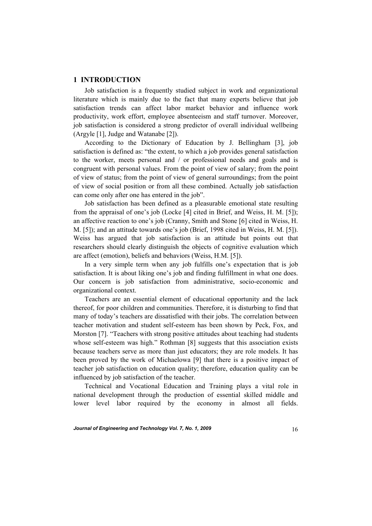#### **1 INTRODUCTION**

 Job satisfaction is a frequently studied subject in work and organizational literature which is mainly due to the fact that many experts believe that job satisfaction trends can affect labor market behavior and influence work productivity, work effort, employee absenteeism and staff turnover. Moreover, job satisfaction is considered a strong predictor of overall individual wellbeing (Argyle [1], Judge and Watanabe [2]).

 According to the Dictionary of Education by J. Bellingham [3], job satisfaction is defined as: "the extent, to which a job provides general satisfaction to the worker, meets personal and / or professional needs and goals and is congruent with personal values. From the point of view of salary; from the point of view of status; from the point of view of general surroundings; from the point of view of social position or from all these combined. Actually job satisfaction can come only after one has entered in the job".

 Job satisfaction has been defined as a pleasurable emotional state resulting from the appraisal of one's job (Locke [4] cited in Brief, and Weiss, H. M. [5]); an affective reaction to one's job (Cranny, Smith and Stone [6] cited in Weiss, H. M. [5]); and an attitude towards one's job (Brief, 1998 cited in Weiss, H. M. [5]). Weiss has argued that job satisfaction is an attitude but points out that researchers should clearly distinguish the objects of cognitive evaluation which are affect (emotion), beliefs and behaviors (Weiss, H.M. [5]).

 In a very simple term when any job fulfills one's expectation that is job satisfaction. It is about liking one's job and finding fulfillment in what one does. Our concern is job satisfaction from administrative, socio-economic and organizational context.

 Teachers are an essential element of educational opportunity and the lack thereof, for poor children and communities. Therefore, it is disturbing to find that many of today's teachers are dissatisfied with their jobs. The correlation between teacher motivation and student self-esteem has been shown by Peck, Fox, and Morston [7]. "Teachers with strong positive attitudes about teaching had students whose self-esteem was high." Rothman [8] suggests that this association exists because teachers serve as more than just educators; they are role models. It has been proved by the work of Michaelowa [9] that there is a positive impact of teacher job satisfaction on education quality; therefore, education quality can be influenced by job satisfaction of the teacher.

 Technical and Vocational Education and Training plays a vital role in national development through the production of essential skilled middle and lower level labor required by the economy in almost all fields.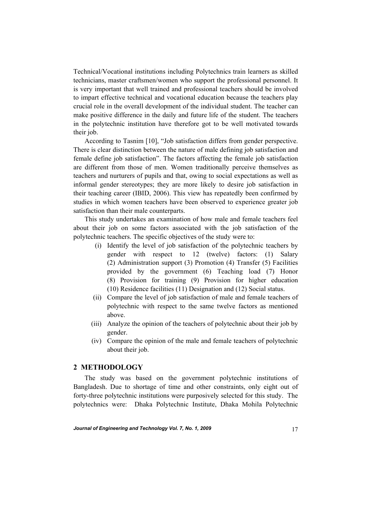Technical/Vocational institutions including Polytechnics train learners as skilled technicians, master craftsmen/women who support the professional personnel. It is very important that well trained and professional teachers should be involved to impart effective technical and vocational education because the teachers play crucial role in the overall development of the individual student. The teacher can make positive difference in the daily and future life of the student. The teachers in the polytechnic institution have therefore got to be well motivated towards their job.

 According to Tasnim [10], "Job satisfaction differs from gender perspective. There is clear distinction between the nature of male defining job satisfaction and female define job satisfaction". The factors affecting the female job satisfaction are different from those of men. Women traditionally perceive themselves as teachers and nurturers of pupils and that, owing to social expectations as well as informal gender stereotypes; they are more likely to desire job satisfaction in their teaching career (IBID, 2006). This view has repeatedly been confirmed by studies in which women teachers have been observed to experience greater job satisfaction than their male counterparts.

 This study undertakes an examination of how male and female teachers feel about their job on some factors associated with the job satisfaction of the polytechnic teachers. The specific objectives of the study were to:

- (i) Identify the level of job satisfaction of the polytechnic teachers by gender with respect to 12 (twelve) factors: (1) Salary (2) Administration support (3) Promotion (4) Transfer (5) Facilities provided by the government (6) Teaching load (7) Honor (8) Provision for training (9) Provision for higher education (10) Residence facilities (11) Designation and (12) Social status.
- (ii) Compare the level of job satisfaction of male and female teachers of polytechnic with respect to the same twelve factors as mentioned above.
- (iii) Analyze the opinion of the teachers of polytechnic about their job by gender.
- (iv) Compare the opinion of the male and female teachers of polytechnic about their job.

## **2 METHODOLOGY**

 The study was based on the government polytechnic institutions of Bangladesh. Due to shortage of time and other constraints, only eight out of forty-three polytechnic institutions were purposively selected for this study. The polytechnics were: Dhaka Polytechnic Institute, Dhaka Mohila Polytechnic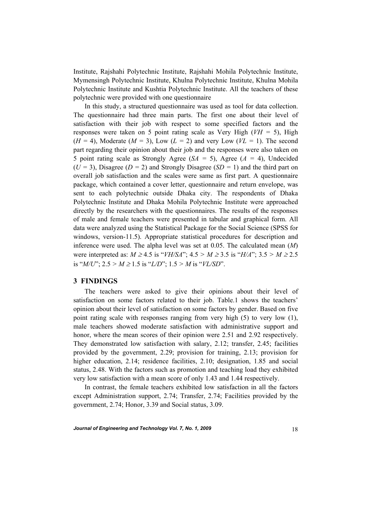Institute, Rajshahi Polytechnic Institute, Rajshahi Mohila Polytechnic Institute, Mymensingh Polytechnic Institute, Khulna Polytechnic Institute, Khulna Mohila Polytechnic Institute and Kushtia Polytechnic Institute. All the teachers of these polytechnic were provided with one questionnaire

 In this study, a structured questionnaire was used as tool for data collection. The questionnaire had three main parts. The first one about their level of satisfaction with their job with respect to some specified factors and the responses were taken on 5 point rating scale as Very High (*VH =* 5), High  $(H = 4)$ , Moderate  $(M = 3)$ , Low  $(L = 2)$  and very Low  $(VL = 1)$ . The second part regarding their opinion about their job and the responses were also taken on 5 point rating scale as Strongly Agree (*SA =* 5), Agree (*A =* 4), Undecided (*U =* 3), Disagree (*D =* 2) and Strongly Disagree (*SD =* 1) and the third part on overall job satisfaction and the scales were same as first part. A questionnaire package, which contained a cover letter, questionnaire and return envelope, was sent to each polytechnic outside Dhaka city. The respondents of Dhaka Polytechnic Institute and Dhaka Mohila Polytechnic Institute were approached directly by the researchers with the questionnaires. The results of the responses of male and female teachers were presented in tabular and graphical form. All data were analyzed using the Statistical Package for the Social Science (SPSS for windows, version-11.5). Appropriate statistical procedures for description and inference were used. The alpha level was set at 0.05. The calculated mean (*M*) were interpreted as: *M* ≥ 4.5 is "*VH/SA*"; 4.5 *> M* ≥ 3.5 is "*H/A*"; 3.5 *> M* ≥ 2.5 is " $M/U$ "; 2.5 >  $M \ge 1.5$  is " $L/D$ "; 1.5 >  $M$  is " $VL/SD$ ".

#### **3 FINDINGS**

 The teachers were asked to give their opinions about their level of satisfaction on some factors related to their job. Table.1 shows the teachers' opinion about their level of satisfaction on some factors by gender. Based on five point rating scale with responses ranging from very high (5) to very low (1), male teachers showed moderate satisfaction with administrative support and honor, where the mean scores of their opinion were 2.51 and 2.92 respectively. They demonstrated low satisfaction with salary, 2.12; transfer, 2.45; facilities provided by the government, 2.29; provision for training, 2.13; provision for higher education, 2.14; residence facilities, 2.10; designation, 1.85 and social status, 2.48. With the factors such as promotion and teaching load they exhibited very low satisfaction with a mean score of only 1.43 and 1.44 respectively.

 In contrast, the female teachers exhibited low satisfaction in all the factors except Administration support, 2.74; Transfer, 2.74; Facilities provided by the government, 2.74; Honor, 3.39 and Social status, 3.09.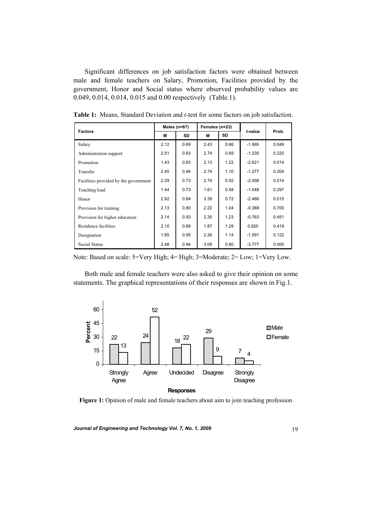Significant differences on job satisfaction factors were obtained between male and female teachers on Salary, Promotion, Facilities provided by the government, Honor and Social status where observed probability values are 0.049, 0.014, 0.014, 0.015 and 0.00 respectively (Table.1).

|                                       | Males (n=87) |      | Females (n=23) |           |          |       |  |
|---------------------------------------|--------------|------|----------------|-----------|----------|-------|--|
| <b>Factors</b>                        | М            | SD   | м              | <b>SD</b> | t-value  | Prob. |  |
| Salary                                | 2.12         | 0.69 | 2.43           | 0.66      | $-1.995$ | 0.049 |  |
| Administration support                | 2.51         | 0.83 | 2.74           | 0.69      | $-1.235$ | 0.220 |  |
| Promotion                             | 1.43         | 0.83 | 2.13           | 1.22      | $-2.621$ | 0.014 |  |
| Transfer                              | 2.45         | 0.94 | 2.74           | 1.10      | $-1.277$ | 0.204 |  |
| Facilities provided by the government | 2.29         | 0.73 | 2.74           | 0.92      | $-2.498$ | 0.014 |  |
| Teaching load                         | 1.44         | 0.73 | 1.61           | 0.58      | $-1.048$ | 0.297 |  |
| Honor                                 | 2.92         | 0.84 | 3.39           | 0.72      | $-2.466$ | 0.015 |  |
| Provision for training                | 2.13         | 0.80 | 2.22           | 1.04      | $-0.389$ | 0.700 |  |
| Provision for higher education        | 2.14         | 0.93 | 2.35           | 1.23      | $-0.763$ | 0.451 |  |
| Residence facilities                  | 2.10         | 0.89 | 1.87           | 1.29      | 0.820    | 0.419 |  |
| Designation                           | 1.85         | 0.95 | 2.26           | 1.14      | $-1.591$ | 0.122 |  |
| <b>Social Status</b>                  | 2.48         | 0.94 | 3.09           | 0.60      | $-3.777$ | 0.000 |  |

**Table 1:** Means, Standard Deviation and *t-*test for some factors on job satisfaction.

Note: Based on scale: 5=Very High; 4= High; 3=Moderate; 2= Low; 1=Very Low.

 Both male and female teachers were also asked to give their opinion on some statements. The graphical representations of their responses are shown in Fig.1.



**Figure 1:** Opinion of male and female teachers about aim to join teaching profession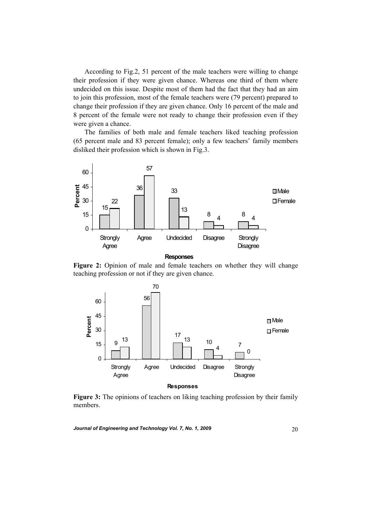According to Fig.2, 51 percent of the male teachers were willing to change their profession if they were given chance. Whereas one third of them where undecided on this issue. Despite most of them had the fact that they had an aim to join this profession, most of the female teachers were (79 percent) prepared to change their profession if they are given chance. Only 16 percent of the male and 8 percent of the female were not ready to change their profession even if they were given a chance.

 The families of both male and female teachers liked teaching profession (65 percent male and 83 percent female); only a few teachers' family members disliked their profession which is shown in Fig.3.



**Figure 2:** Opinion of male and female teachers on whether they will change teaching profession or not if they are given chance.



**Figure 3:** The opinions of teachers on liking teaching profession by their family members.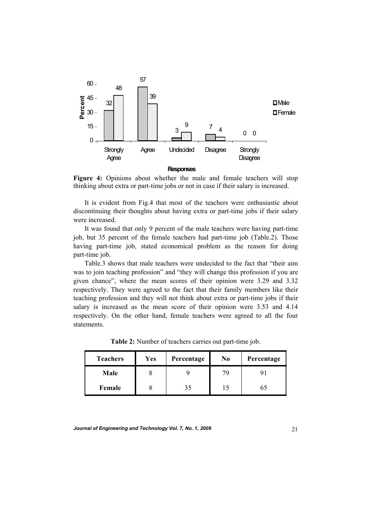

**Figure 4:** Opinions about whether the male and female teachers will stop thinking about extra or part-time jobs or not in case if their salary is increased.

 It is evident from Fig.4 that most of the teachers were enthusiastic about discontinuing their thoughts about having extra or part-time jobs if their salary were increased.

 It was found that only 9 percent of the male teachers were having part-time job, but 35 percent of the female teachers had part-time job (Table.2). Those having part-time job, stated economical problem as the reason for doing part-time job.

 Table.3 shows that male teachers were undecided to the fact that "their aim was to join teaching profession" and "they will change this profession if you are given chance", where the mean scores of their opinion were 3.29 and 3.32 respectively. They were agreed to the fact that their family members like their teaching profession and they will not think about extra or part-time jobs if their salary is increased as the mean score of their opinion were 3.53 and 4.14 respectively. On the other hand, female teachers were agreed to all the four statements.

| <b>Teachers</b> | Yes | Percentage | No | Percentage |  |
|-----------------|-----|------------|----|------------|--|
| Male            |     |            | 79 |            |  |
| Female          |     | 35         |    | 65         |  |

**Table 2:** Number of teachers carries out part-time job.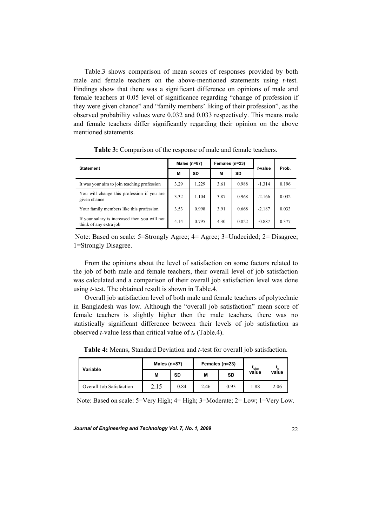Table.3 shows comparison of mean scores of responses provided by both male and female teachers on the above-mentioned statements using *t*-test. Findings show that there was a significant difference on opinions of male and female teachers at 0.05 level of significance regarding "change of profession if they were given chance" and "family members' liking of their profession", as the observed probability values were 0.032 and 0.033 respectively. This means male and female teachers differ significantly regarding their opinion on the above mentioned statements.

| <b>Statement</b>                                                        | Males ( $n=87$ ) |           | Females (n=23) |       | t-value  | Prob. |
|-------------------------------------------------------------------------|------------------|-----------|----------------|-------|----------|-------|
|                                                                         | M                | <b>SD</b> | M              | SD    |          |       |
| It was your aim to join teaching profession                             | 3.29             | 1.229     | 3.61           | 0.988 | $-1.314$ | 0.196 |
| You will change this profession if you are<br>given chance              | 3.32             | 1.104     | 3.87           | 0.968 | $-2.166$ | 0.032 |
| Your family members like this profession                                | 3.53             | 0.998     | 3.91           | 0.668 | $-2.187$ | 0.033 |
| If your salary is increased then you will not<br>think of any extra job | 4.14             | 0.795     | 4.30           | 0.822 | $-0.887$ | 0.377 |

**Table 3:** Comparison of the response of male and female teachers.

 Note: Based on scale: 5=Strongly Agree; 4= Agree; 3=Undecided; 2= Disagree; 1=Strongly Disagree.

 From the opinions about the level of satisfaction on some factors related to the job of both male and female teachers, their overall level of job satisfaction was calculated and a comparison of their overall job satisfaction level was done using *t-*test. The obtained result is shown in Table.4.

 Overall job satisfaction level of both male and female teachers of polytechnic in Bangladesh was low. Although the "overall job satisfaction" mean score of female teachers is slightly higher then the male teachers, there was no statistically significant difference between their levels of job satisfaction as observed *t*-value less than critical value of  $t_c$  (Table.4).

**Table 4:** Means, Standard Deviation and *t-*test for overall job satisfaction.

| Variable                 | Males $(n=87)$ |           |      | Females (n=23) | 'obs  |       |
|--------------------------|----------------|-----------|------|----------------|-------|-------|
|                          | M              | <b>SD</b> | М    | <b>SD</b>      | value | value |
| Overall Job Satisfaction | 2.15           | 0.84      | 2.46 | 0.93           | 1.88  | 2.06  |

Note: Based on scale: 5=Very High; 4= High; 3=Moderate; 2= Low; 1=Very Low.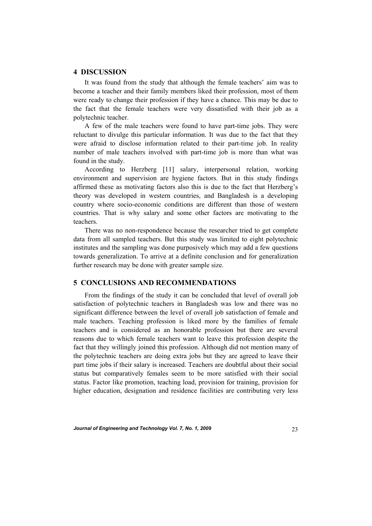#### **4 DISCUSSION**

 It was found from the study that although the female teachers' aim was to become a teacher and their family members liked their profession, most of them were ready to change their profession if they have a chance. This may be due to the fact that the female teachers were very dissatisfied with their job as a polytechnic teacher.

 A few of the male teachers were found to have part-time jobs. They were reluctant to divulge this particular information. It was due to the fact that they were afraid to disclose information related to their part-time job. In reality number of male teachers involved with part-time job is more than what was found in the study.

 According to Herzberg [11] salary, interpersonal relation, working environment and supervision are hygiene factors. But in this study findings affirmed these as motivating factors also this is due to the fact that Herzberg's theory was developed in western countries, and Bangladesh is a developing country where socio-economic conditions are different than those of western countries. That is why salary and some other factors are motivating to the teachers.

 There was no non-respondence because the researcher tried to get complete data from all sampled teachers. But this study was limited to eight polytechnic institutes and the sampling was done purposively which may add a few questions towards generalization. To arrive at a definite conclusion and for generalization further research may be done with greater sample size.

#### **5 CONCLUSIONS AND RECOMMENDATIONS**

 From the findings of the study it can be concluded that level of overall job satisfaction of polytechnic teachers in Bangladesh was low and there was no significant difference between the level of overall job satisfaction of female and male teachers. Teaching profession is liked more by the families of female teachers and is considered as an honorable profession but there are several reasons due to which female teachers want to leave this profession despite the fact that they willingly joined this profession. Although did not mention many of the polytechnic teachers are doing extra jobs but they are agreed to leave their part time jobs if their salary is increased. Teachers are doubtful about their social status but comparatively females seem to be more satisfied with their social status. Factor like promotion, teaching load, provision for training, provision for higher education, designation and residence facilities are contributing very less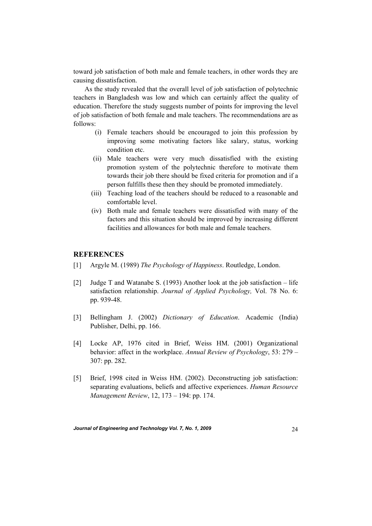toward job satisfaction of both male and female teachers, in other words they are causing dissatisfaction.

 As the study revealed that the overall level of job satisfaction of polytechnic teachers in Bangladesh was low and which can certainly affect the quality of education. Therefore the study suggests number of points for improving the level of job satisfaction of both female and male teachers. The recommendations are as follows:

- (i) Female teachers should be encouraged to join this profession by improving some motivating factors like salary, status, working condition etc.
- (ii) Male teachers were very much dissatisfied with the existing promotion system of the polytechnic therefore to motivate them towards their job there should be fixed criteria for promotion and if a person fulfills these then they should be promoted immediately.
- (iii) Teaching load of the teachers should be reduced to a reasonable and comfortable level.
- (iv) Both male and female teachers were dissatisfied with many of the factors and this situation should be improved by increasing different facilities and allowances for both male and female teachers.

# **REFERENCES**

- [1] Argyle M. (1989) *The Psychology of Happiness*. Routledge, London.
- [2] Judge T and Watanabe S. (1993) Another look at the job satisfaction life satisfaction relationship. *Journal of Applied Psychology,* Vol. 78 No. 6: pp. 939-48.
- [3] Bellingham J. (2002) *Dictionary of Education*. Academic (India) Publisher, Delhi, pp. 166.
- [4] Locke AP, 1976 cited in Brief, Weiss HM. (2001) Organizational behavior: affect in the workplace. *Annual Review of Psychology*, 53: 279 – 307: pp. 282.
- [5] Brief, 1998 cited in Weiss HM. (2002). Deconstructing job satisfaction: separating evaluations, beliefs and affective experiences. *Human Resource Management Review*, 12, 173 – 194: pp. 174.